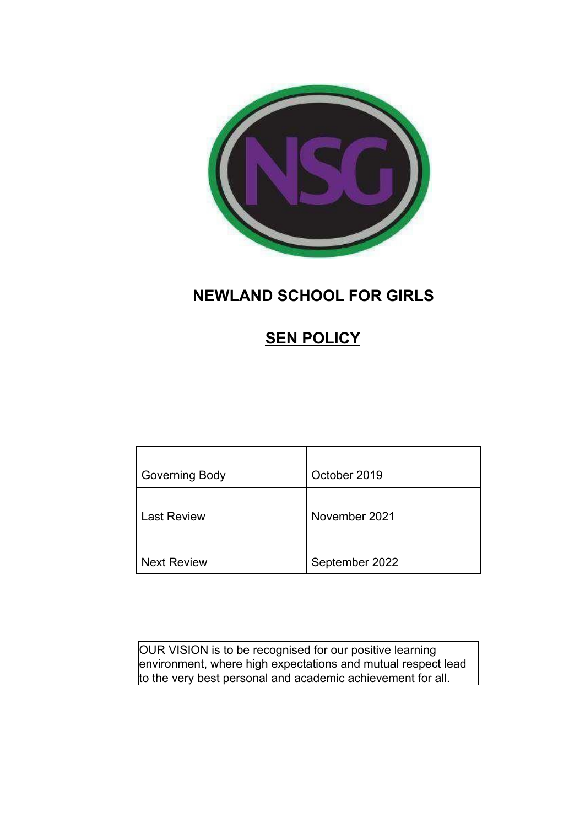

# **NEWLAND SCHOOL FOR GIRLS**

# **SEN POLICY**

| Governing Body     | October 2019   |
|--------------------|----------------|
| <b>Last Review</b> | November 2021  |
| <b>Next Review</b> | September 2022 |

OUR VISION is to be recognised for our positive learning environment, where high expectations and mutual respect lead to the very best personal and academic achievement for all.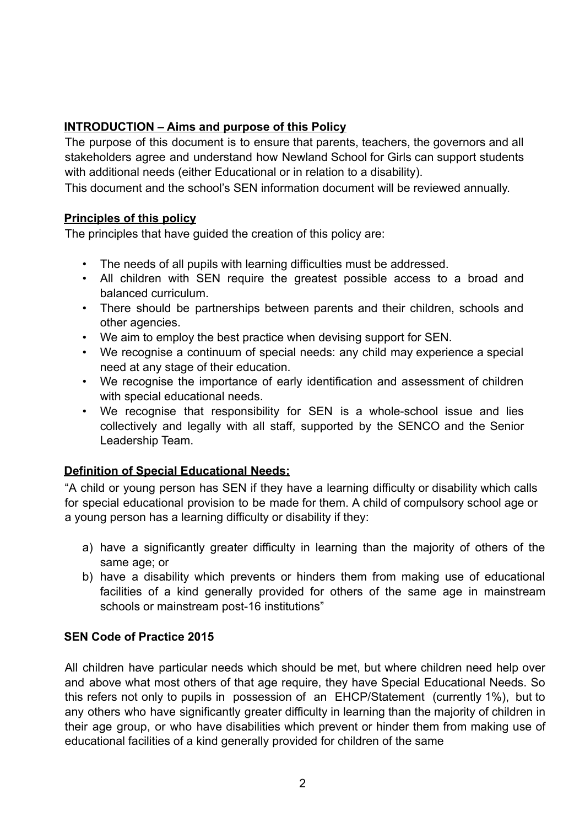# **INTRODUCTION – Aims and purpose of this Policy**

The purpose of this document is to ensure that parents, teachers, the governors and all stakeholders agree and understand how Newland School for Girls can support students with additional needs (either Educational or in relation to a disability).

This document and the school's SEN information document will be reviewed annually.

#### **Principles of this policy**

The principles that have guided the creation of this policy are:

- The needs of all pupils with learning difficulties must be addressed.
- All children with SEN require the greatest possible access to a broad and balanced curriculum.
- There should be partnerships between parents and their children, schools and other agencies.
- We aim to employ the best practice when devising support for SEN.
- We recognise a continuum of special needs: any child may experience a special need at any stage of their education.
- We recognise the importance of early identification and assessment of children with special educational needs.
- We recognise that responsibility for SEN is a whole-school issue and lies collectively and legally with all staff, supported by the SENCO and the Senior Leadership Team.

# **Definition of Special Educational Needs:**

"A child or young person has SEN if they have a learning difficulty or disability which calls for special educational provision to be made for them. A child of compulsory school age or a young person has a learning difficulty or disability if they:

- a) have a significantly greater difficulty in learning than the majority of others of the same age; or
- b) have a disability which prevents or hinders them from making use of educational facilities of a kind generally provided for others of the same age in mainstream schools or mainstream post-16 institutions"

# **SEN Code of Practice 2015**

All children have particular needs which should be met, but where children need help over and above what most others of that age require, they have Special Educational Needs. So this refers not only to pupils in possession of an EHCP/Statement (currently 1%), but to any others who have significantly greater difficulty in learning than the majority of children in their age group, or who have disabilities which prevent or hinder them from making use of educational facilities of a kind generally provided for children of the same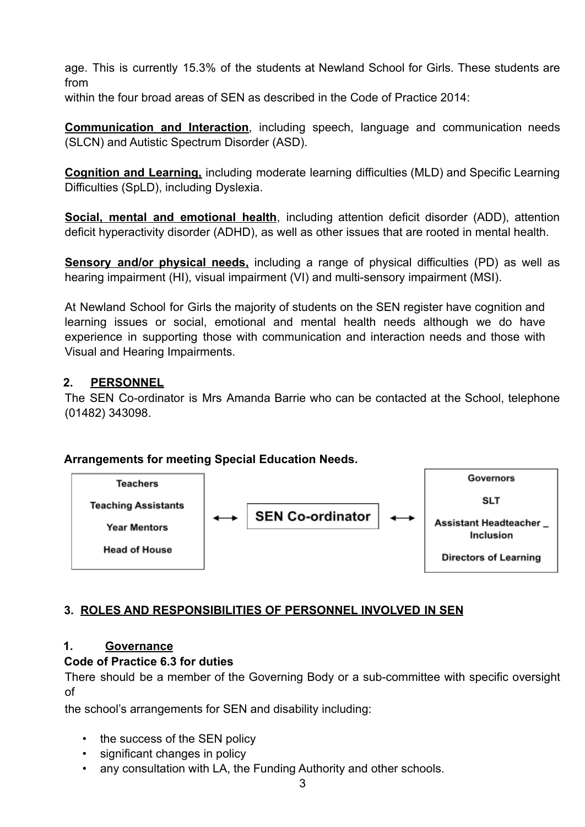age. This is currently 15.3% of the students at Newland School for Girls. These students are from

within the four broad areas of SEN as described in the Code of Practice 2014:

**Communication and Interaction**, including speech, language and communication needs (SLCN) and Autistic Spectrum Disorder (ASD).

**Cognition and Learning,** including moderate learning difficulties (MLD) and Specific Learning Difficulties (SpLD), including Dyslexia.

**Social, mental and emotional health**, including attention deficit disorder (ADD), attention deficit hyperactivity disorder (ADHD), as well as other issues that are rooted in mental health.

**Sensory and/or physical needs,** including a range of physical difficulties (PD) as well as hearing impairment (HI), visual impairment (VI) and multi-sensory impairment (MSI).

At Newland School for Girls the majority of students on the SEN register have cognition and learning issues or social, emotional and mental health needs although we do have experience in supporting those with communication and interaction needs and those with Visual and Hearing Impairments.

### **2. PERSONNEL**

The SEN Co-ordinator is Mrs Amanda Barrie who can be contacted at the School, telephone (01482) 343098.

#### **Arrangements for meeting Special Education Needs.**



# **3. ROLES AND RESPONSIBILITIES OF PERSONNEL INVOLVED IN SEN**

#### **1. Governance**

# **Code of Practice 6.3 for duties**

There should be a member of the Governing Body or a sub-committee with specific oversight of

the school's arrangements for SEN and disability including:

- the success of the SEN policy
- significant changes in policy
- any consultation with LA, the Funding Authority and other schools.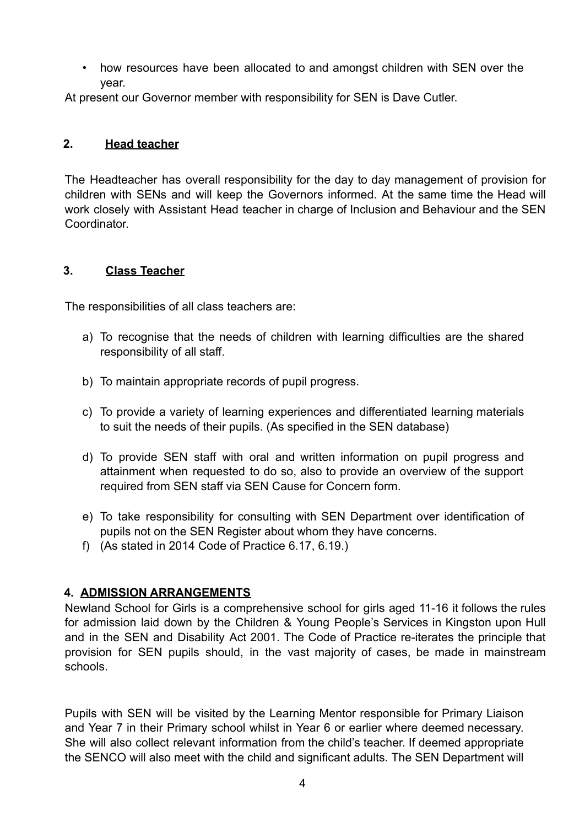• how resources have been allocated to and amongst children with SEN over the year.

At present our Governor member with responsibility for SEN is Dave Cutler.

#### **2. Head teacher**

The Headteacher has overall responsibility for the day to day management of provision for children with SENs and will keep the Governors informed. At the same time the Head will work closely with Assistant Head teacher in charge of Inclusion and Behaviour and the SEN Coordinator.

#### **3. Class Teacher**

The responsibilities of all class teachers are:

- a) To recognise that the needs of children with learning difficulties are the shared responsibility of all staff.
- b) To maintain appropriate records of pupil progress.
- c) To provide a variety of learning experiences and differentiated learning materials to suit the needs of their pupils. (As specified in the SEN database)
- d) To provide SEN staff with oral and written information on pupil progress and attainment when requested to do so, also to provide an overview of the support required from SEN staff via SEN Cause for Concern form.
- e) To take responsibility for consulting with SEN Department over identification of pupils not on the SEN Register about whom they have concerns.
- f) (As stated in 2014 Code of Practice 6.17, 6.19.)

# **4. ADMISSION ARRANGEMENTS**

Newland School for Girls is a comprehensive school for girls aged 11-16 it follows the rules for admission laid down by the Children & Young People's Services in Kingston upon Hull and in the SEN and Disability Act 2001. The Code of Practice re-iterates the principle that provision for SEN pupils should, in the vast majority of cases, be made in mainstream schools.

Pupils with SEN will be visited by the Learning Mentor responsible for Primary Liaison and Year 7 in their Primary school whilst in Year 6 or earlier where deemed necessary. She will also collect relevant information from the child's teacher. If deemed appropriate the SENCO will also meet with the child and significant adults. The SEN Department will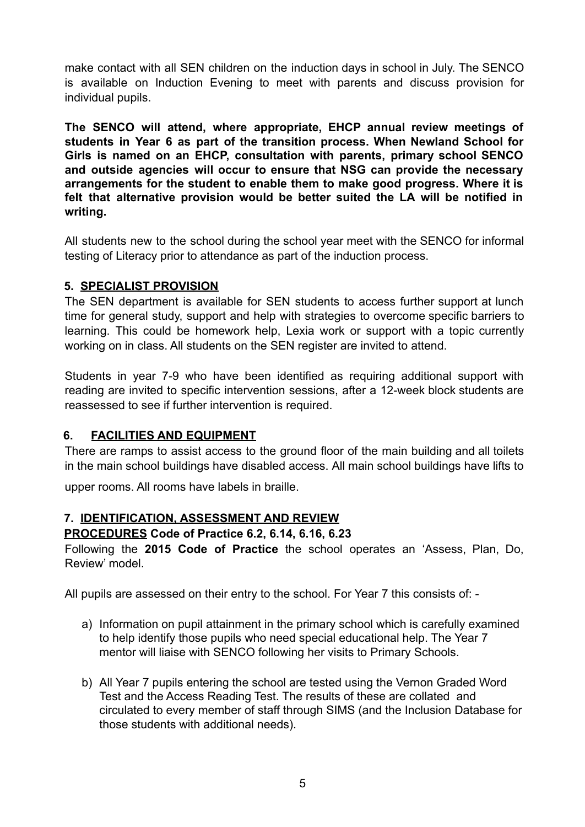make contact with all SEN children on the induction days in school in July. The SENCO is available on Induction Evening to meet with parents and discuss provision for individual pupils.

**The SENCO will attend, where appropriate, EHCP annual review meetings of students in Year 6 as part of the transition process. When Newland School for Girls is named on an EHCP, consultation with parents, primary school SENCO and outside agencies will occur to ensure that NSG can provide the necessary arrangements for the student to enable them to make good progress. Where it is felt that alternative provision would be better suited the LA will be notified in writing.**

All students new to the school during the school year meet with the SENCO for informal testing of Literacy prior to attendance as part of the induction process.

#### **5. SPECIALIST PROVISION**

The SEN department is available for SEN students to access further support at lunch time for general study, support and help with strategies to overcome specific barriers to learning. This could be homework help, Lexia work or support with a topic currently working on in class. All students on the SEN register are invited to attend.

Students in year 7-9 who have been identified as requiring additional support with reading are invited to specific intervention sessions, after a 12-week block students are reassessed to see if further intervention is required.

#### **6. FACILITIES AND EQUIPMENT**

There are ramps to assist access to the ground floor of the main building and all toilets in the main school buildings have disabled access. All main school buildings have lifts to

upper rooms. All rooms have labels in braille.

#### **7. IDENTIFICATION, ASSESSMENT AND REVIEW**

#### **PROCEDURES Code of Practice 6.2, 6.14, 6.16, 6.23**

Following the **2015 Code of Practice** the school operates an 'Assess, Plan, Do, Review' model.

All pupils are assessed on their entry to the school. For Year 7 this consists of: -

- a) Information on pupil attainment in the primary school which is carefully examined to help identify those pupils who need special educational help. The Year 7 mentor will liaise with SENCO following her visits to Primary Schools.
- b) All Year 7 pupils entering the school are tested using the Vernon Graded Word Test and the Access Reading Test. The results of these are collated and circulated to every member of staff through SIMS (and the Inclusion Database for those students with additional needs).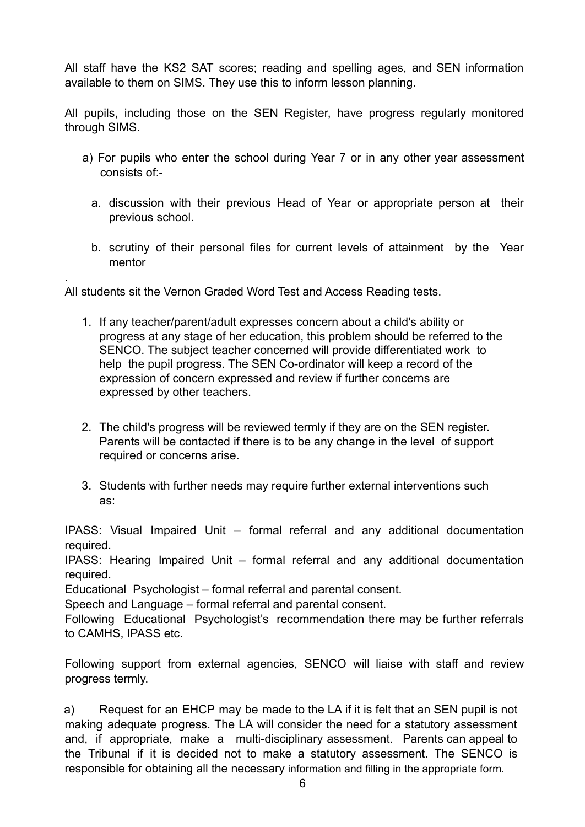All staff have the KS2 SAT scores; reading and spelling ages, and SEN information available to them on SIMS. They use this to inform lesson planning.

All pupils, including those on the SEN Register, have progress regularly monitored through SIMS.

- a) For pupils who enter the school during Year 7 or in any other year assessment consists of:
	- a. discussion with their previous Head of Year or appropriate person at their previous school.
	- b. scrutiny of their personal files for current levels of attainment by the Year mentor

All students sit the Vernon Graded Word Test and Access Reading tests.

.

- 1. If any teacher/parent/adult expresses concern about a child's ability or progress at any stage of her education, this problem should be referred to the SENCO. The subject teacher concerned will provide differentiated work to help the pupil progress. The SEN Co-ordinator will keep a record of the expression of concern expressed and review if further concerns are expressed by other teachers.
- 2. The child's progress will be reviewed termly if they are on the SEN register. Parents will be contacted if there is to be any change in the level of support required or concerns arise.
- 3. Students with further needs may require further external interventions such as:

IPASS: Visual Impaired Unit – formal referral and any additional documentation required.

IPASS: Hearing Impaired Unit – formal referral and any additional documentation required.

Educational Psychologist – formal referral and parental consent.

Speech and Language – formal referral and parental consent.

Following Educational Psychologist's recommendation there may be further referrals to CAMHS, IPASS etc.

Following support from external agencies, SENCO will liaise with staff and review progress termly.

a) Request for an EHCP may be made to the LA if it is felt that an SEN pupil is not making adequate progress. The LA will consider the need for a statutory assessment and, if appropriate, make a multi-disciplinary assessment. Parents can appeal to the Tribunal if it is decided not to make a statutory assessment. The SENCO is responsible for obtaining all the necessary information and filling in the appropriate form.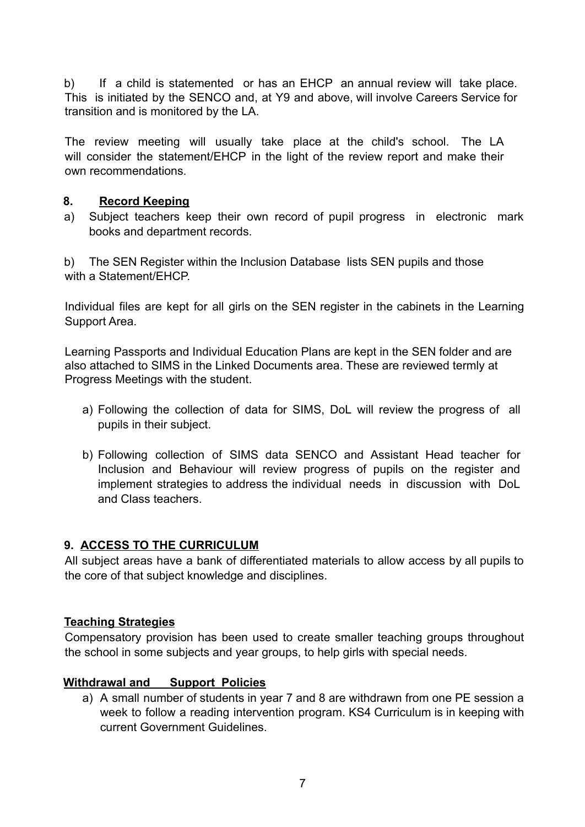b) If a child is statemented or has an EHCP an annual review will take place. This is initiated by the SENCO and, at Y9 and above, will involve Careers Service for transition and is monitored by the LA.

The review meeting will usually take place at the child's school. The LA will consider the statement/EHCP in the light of the review report and make their own recommendations.

#### **8. Record Keeping**

a) Subject teachers keep their own record of pupil progress in electronic mark books and department records.

b) The SEN Register within the Inclusion Database lists SEN pupils and those with a Statement/FHCP

Individual files are kept for all girls on the SEN register in the cabinets in the Learning Support Area.

Learning Passports and Individual Education Plans are kept in the SEN folder and are also attached to SIMS in the Linked Documents area. These are reviewed termly at Progress Meetings with the student.

- a) Following the collection of data for SIMS, DoL will review the progress of all pupils in their subject.
- b) Following collection of SIMS data SENCO and Assistant Head teacher for Inclusion and Behaviour will review progress of pupils on the register and implement strategies to address the individual needs in discussion with DoL and Class teachers.

# **9. ACCESS TO THE CURRICULUM**

All subject areas have a bank of differentiated materials to allow access by all pupils to the core of that subject knowledge and disciplines.

#### **Teaching Strategies**

Compensatory provision has been used to create smaller teaching groups throughout the school in some subjects and year groups, to help girls with special needs.

#### **Withdrawal and Support Policies**

a) A small number of students in year 7 and 8 are withdrawn from one PE session a week to follow a reading intervention program. KS4 Curriculum is in keeping with current Government Guidelines.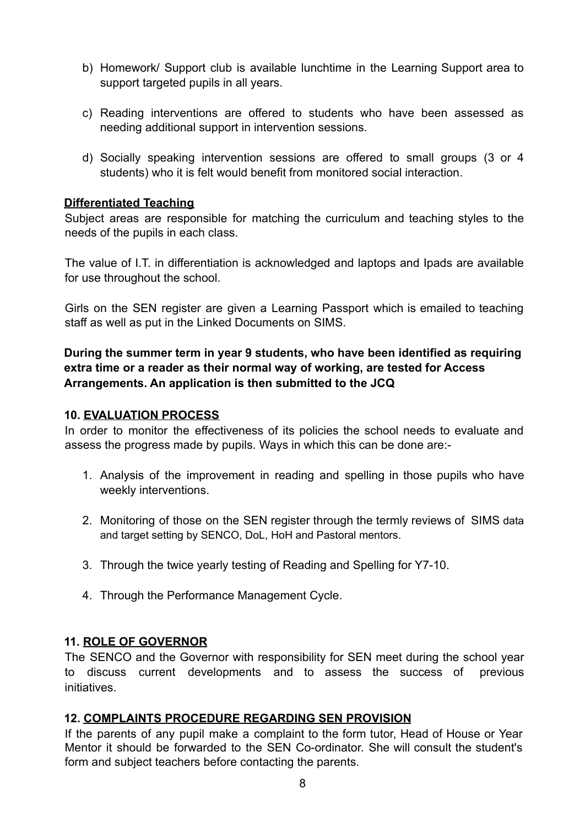- b) Homework/ Support club is available lunchtime in the Learning Support area to support targeted pupils in all years.
- c) Reading interventions are offered to students who have been assessed as needing additional support in intervention sessions.
- d) Socially speaking intervention sessions are offered to small groups (3 or 4 students) who it is felt would benefit from monitored social interaction.

#### **Differentiated Teaching**

Subject areas are responsible for matching the curriculum and teaching styles to the needs of the pupils in each class.

The value of I.T. in differentiation is acknowledged and laptops and Ipads are available for use throughout the school.

Girls on the SEN register are given a Learning Passport which is emailed to teaching staff as well as put in the Linked Documents on SIMS.

## **During the summer term in year 9 students, who have been identified as requiring extra time or a reader as their normal way of working, are tested for Access Arrangements. An application is then submitted to the JCQ**

#### **10. EVALUATION PROCESS**

In order to monitor the effectiveness of its policies the school needs to evaluate and assess the progress made by pupils. Ways in which this can be done are:-

- 1. Analysis of the improvement in reading and spelling in those pupils who have weekly interventions.
- 2. Monitoring of those on the SEN register through the termly reviews of SIMS data and target setting by SENCO, DoL, HoH and Pastoral mentors.
- 3. Through the twice yearly testing of Reading and Spelling for Y7-10.
- 4. Through the Performance Management Cycle.

# **11. ROLE OF GOVERNOR**

The SENCO and the Governor with responsibility for SEN meet during the school year to discuss current developments and to assess the success of previous initiatives.

# **12. COMPLAINTS PROCEDURE REGARDING SEN PROVISION**

If the parents of any pupil make a complaint to the form tutor, Head of House or Year Mentor it should be forwarded to the SEN Co-ordinator. She will consult the student's form and subject teachers before contacting the parents.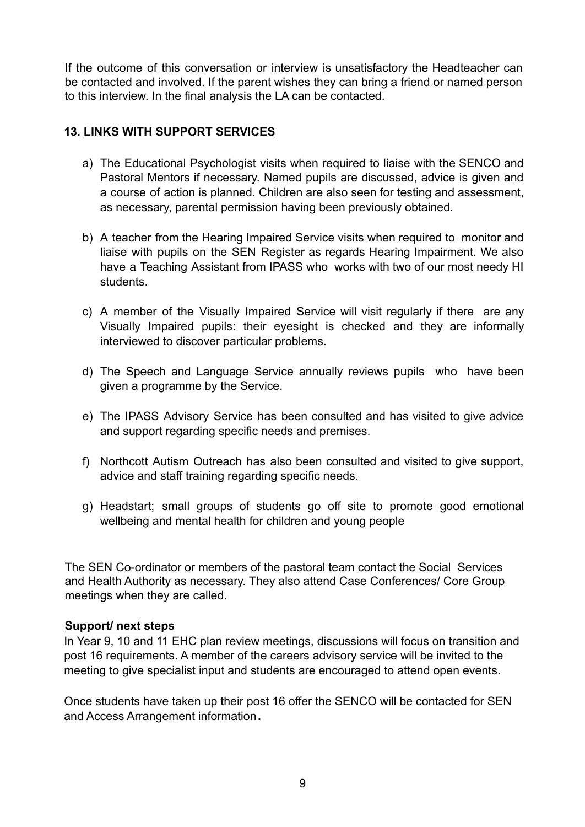If the outcome of this conversation or interview is unsatisfactory the Headteacher can be contacted and involved. If the parent wishes they can bring a friend or named person to this interview. In the final analysis the LA can be contacted.

## **13. LINKS WITH SUPPORT SERVICES**

- a) The Educational Psychologist visits when required to liaise with the SENCO and Pastoral Mentors if necessary. Named pupils are discussed, advice is given and a course of action is planned. Children are also seen for testing and assessment, as necessary, parental permission having been previously obtained.
- b) A teacher from the Hearing Impaired Service visits when required to monitor and liaise with pupils on the SEN Register as regards Hearing Impairment. We also have a Teaching Assistant from IPASS who works with two of our most needy HI students.
- c) A member of the Visually Impaired Service will visit regularly if there are any Visually Impaired pupils: their eyesight is checked and they are informally interviewed to discover particular problems.
- d) The Speech and Language Service annually reviews pupils who have been given a programme by the Service.
- e) The IPASS Advisory Service has been consulted and has visited to give advice and support regarding specific needs and premises.
- f) Northcott Autism Outreach has also been consulted and visited to give support, advice and staff training regarding specific needs.
- g) Headstart; small groups of students go off site to promote good emotional wellbeing and mental health for children and young people

The SEN Co-ordinator or members of the pastoral team contact the Social Services and Health Authority as necessary. They also attend Case Conferences/ Core Group meetings when they are called.

#### **Support/ next steps**

In Year 9, 10 and 11 EHC plan review meetings, discussions will focus on transition and post 16 requirements. A member of the careers advisory service will be invited to the meeting to give specialist input and students are encouraged to attend open events.

Once students have taken up their post 16 offer the SENCO will be contacted for SEN and Access Arrangement information**.**